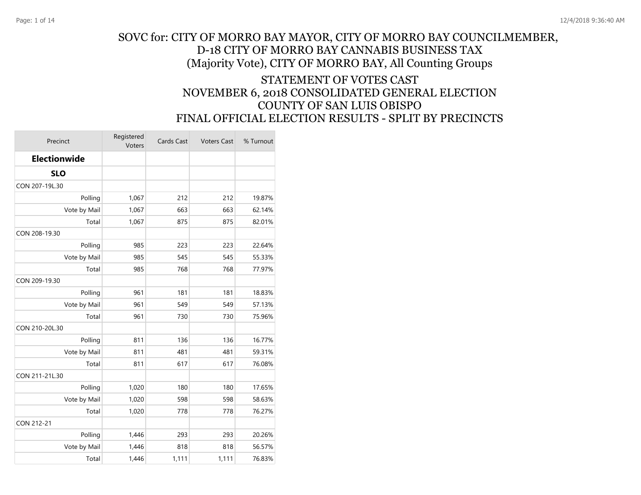# SOVC for: CITY OF MORRO BAY MAYOR, CITY OF MORRO BAY COUNCILMEMBER, D-18 CITY OF MORRO BAY CANNABIS BUSINESS TAX (Majority Vote), CITY OF MORRO BAY, All Counting Groups

### STATEMENT OF VOTES CAST NOVEMBER 6, 2018 CONSOLIDATED GENERAL ELECTION COUNTY OF SAN LUIS OBISPO FINAL OFFICIAL ELECTION RESULTS - SPLIT BY PRECINCTS

| Precinct            | Registered<br>Voters | Cards Cast | <b>Voters Cast</b> | % Turnout |
|---------------------|----------------------|------------|--------------------|-----------|
| <b>Electionwide</b> |                      |            |                    |           |
| <b>SLO</b>          |                      |            |                    |           |
| CON 207-19L.30      |                      |            |                    |           |
| Polling             | 1,067                | 212        | 212                | 19.87%    |
| Vote by Mail        | 1,067                | 663        | 663                | 62.14%    |
| Total               | 1,067                | 875        | 875                | 82.01%    |
| CON 208-19.30       |                      |            |                    |           |
| Polling             | 985                  | 223        | 223                | 22.64%    |
| Vote by Mail        | 985                  | 545        | 545                | 55.33%    |
| Total               | 985                  | 768        | 768                | 77.97%    |
| CON 209-19.30       |                      |            |                    |           |
| Polling             | 961                  | 181        | 181                | 18.83%    |
| Vote by Mail        | 961                  | 549        | 549                | 57.13%    |
| Total               | 961                  | 730        | 730                | 75.96%    |
| CON 210-20L.30      |                      |            |                    |           |
| Polling             | 811                  | 136        | 136                | 16.77%    |
| Vote by Mail        | 811                  | 481        | 481                | 59.31%    |
| Total               | 811                  | 617        | 617                | 76.08%    |
| CON 211-21L.30      |                      |            |                    |           |
| Polling             | 1,020                | 180        | 180                | 17.65%    |
| Vote by Mail        | 1,020                | 598        | 598                | 58.63%    |
| Total               | 1,020                | 778        | 778                | 76.27%    |
| CON 212-21          |                      |            |                    |           |
| Polling             | 1,446                | 293        | 293                | 20.26%    |
| Vote by Mail        | 1,446                | 818        | 818                | 56.57%    |
| Total               | 1,446                | 1,111      | 1,111              | 76.83%    |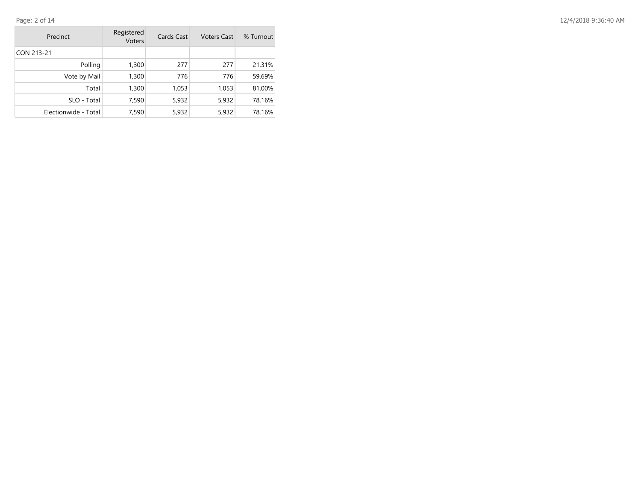#### Page: 2 of 14

| Precinct             | Registered<br>Voters | Cards Cast | <b>Voters Cast</b> | % Turnout |
|----------------------|----------------------|------------|--------------------|-----------|
| CON 213-21           |                      |            |                    |           |
| Polling              | 1,300                | 277        | 277                | 21.31%    |
| Vote by Mail         | 1,300                | 776        | 776                | 59.69%    |
| Total                | 1,300                | 1,053      | 1,053              | 81.00%    |
| SLO - Total          | 7,590                | 5,932      | 5,932              | 78.16%    |
| Electionwide - Total | 7,590                | 5,932      | 5,932              | 78.16%    |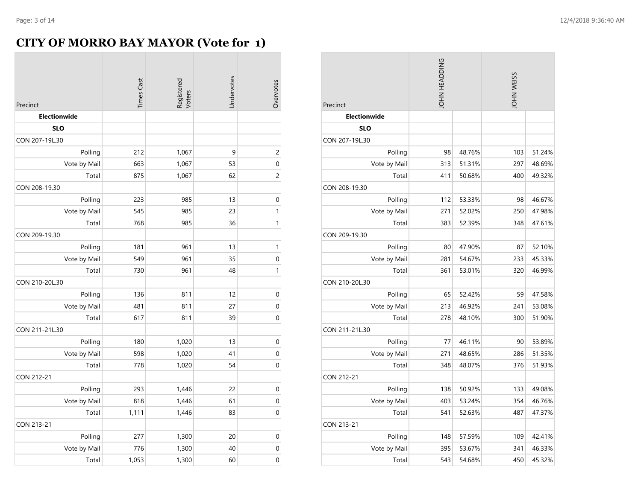# **CITY OF MORRO BAY MAYOR (Vote for 1)**

| Precinct            | <b>Times Cast</b> | Registered<br>Voters | Undervotes | Overvotes        |
|---------------------|-------------------|----------------------|------------|------------------|
| <b>Electionwide</b> |                   |                      |            |                  |
| <b>SLO</b>          |                   |                      |            |                  |
| CON 207-19L.30      |                   |                      |            |                  |
| Polling             | 212               | 1,067                | 9          | $\overline{c}$   |
| Vote by Mail        | 663               | 1,067                | 53         | $\mathbf 0$      |
| Total               | 875               | 1,067                | 62         | $\overline{c}$   |
| CON 208-19.30       |                   |                      |            |                  |
| Polling             | 223               | 985                  | 13         | $\mathbf 0$      |
| Vote by Mail        | 545               | 985                  | 23         | $\mathbf{1}$     |
| Total               | 768               | 985                  | 36         | 1                |
| CON 209-19.30       |                   |                      |            |                  |
| Polling             | 181               | 961                  | 13         | $\mathbf{1}$     |
| Vote by Mail        | 549               | 961                  | 35         | $\mathbf 0$      |
| Total               | 730               | 961                  | 48         | 1                |
| CON 210-20L.30      |                   |                      |            |                  |
| Polling             | 136               | 811                  | 12         | $\pmb{0}$        |
| Vote by Mail        | 481               | 811                  | 27         | $\mathbf 0$      |
| Total               | 617               | 811                  | 39         | $\boldsymbol{0}$ |
| CON 211-21L.30      |                   |                      |            |                  |
| Polling             | 180               | 1,020                | 13         | $\mathbf{0}$     |
| Vote by Mail        | 598               | 1,020                | 41         | $\mathbf 0$      |
| Total               | 778               | 1,020                | 54         | $\mathbf 0$      |
| CON 212-21          |                   |                      |            |                  |
| Polling             | 293               | 1,446                | 22         | $\mathbf 0$      |
| Vote by Mail        | 818               | 1,446                | 61         | $\mathbf 0$      |
| Total               | 1,111             | 1,446                | 83         | $\mathbf 0$      |
| CON 213-21          |                   |                      |            |                  |
| Polling             | 277               | 1,300                | 20         | $\mathbf 0$      |
| Vote by Mail        | 776               | 1,300                | 40         | $\mathbf 0$      |
| Total               | 1,053             | 1,300                | 60         | $\overline{0}$   |

| Precinct            | JOHN HEADDING |        | <b>JOHN WEISS</b> |        |
|---------------------|---------------|--------|-------------------|--------|
| <b>Electionwide</b> |               |        |                   |        |
| <b>SLO</b>          |               |        |                   |        |
| CON 207-19L.30      |               |        |                   |        |
| Polling             | 98            | 48.76% | 103               | 51.24% |
| Vote by Mail        | 313           | 51.31% | 297               | 48.69% |
| Total               | 411           | 50.68% | 400               | 49.32% |
| CON 208-19.30       |               |        |                   |        |
| Polling             | 112           | 53.33% | 98                | 46.67% |
| Vote by Mail        | 271           | 52.02% | 250               | 47.98% |
| Total               | 383           | 52.39% | 348               | 47.61% |
| CON 209-19.30       |               |        |                   |        |
| Polling             | 80            | 47.90% | 87                | 52.10% |
| Vote by Mail        | 281           | 54.67% | 233               | 45.33% |
| Total               | 361           | 53.01% | 320               | 46.99% |
| CON 210-20L.30      |               |        |                   |        |
| Polling             | 65            | 52.42% | 59                | 47.58% |
| Vote by Mail        | 213           | 46.92% | 241               | 53.08% |
| Total               | 278           | 48.10% | 300               | 51.90% |
| CON 211-21L.30      |               |        |                   |        |
| Polling             | 77            | 46.11% | 90                | 53.89% |
| Vote by Mail        | 271           | 48.65% | 286               | 51.35% |
| Total               | 348           | 48.07% | 376               | 51.93% |
| CON 212-21          |               |        |                   |        |
| Polling             | 138           | 50.92% | 133               | 49.08% |
| Vote by Mail        | 403           | 53.24% | 354               | 46.76% |
| Total               | 541           | 52.63% | 487               | 47.37% |
| CON 213-21          |               |        |                   |        |
| Polling             | 148           | 57.59% | 109               | 42.41% |
| Vote by Mail        | 395           | 53.67% | 341               | 46.33% |
| Total               | 543           | 54.68% | 450               | 45.32% |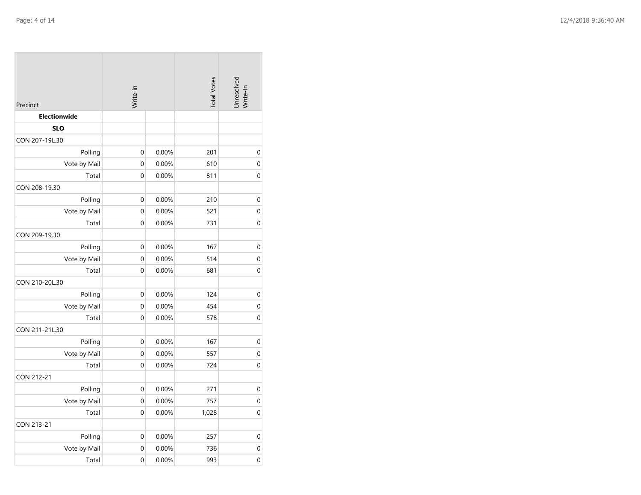| Precinct          | Write-in       |       | <b>Total Votes</b> | Unresolved<br>Write-In |
|-------------------|----------------|-------|--------------------|------------------------|
| Electionwide      |                |       |                    |                        |
| <b>SLO</b>        |                |       |                    |                        |
| CON 207-19L.30    |                |       |                    |                        |
| Polling           | $\mathbf 0$    | 0.00% | 201                | 0                      |
| Vote by Mail      | 0              | 0.00% | 610                | 0                      |
| Total             | 0              | 0.00% | 811                | 0                      |
| CON 208-19.30     |                |       |                    |                        |
| Polling           | $\mathbf 0$    | 0.00% | 210                | 0                      |
| Vote by Mail      | 0              | 0.00% | 521                | 0                      |
| Total             | 0              | 0.00% | 731                | 0                      |
| CON 209-19.30     |                |       |                    |                        |
| Polling           | $\mathbf 0$    | 0.00% | 167                | 0                      |
| Vote by Mail      | 0              | 0.00% | 514                | 0                      |
| Total             | 0              | 0.00% | 681                | 0                      |
| CON 210-20L.30    |                |       |                    |                        |
| Polling           | $\mathbf 0$    | 0.00% | 124                | 0                      |
| Vote by Mail      | $\mathbf 0$    | 0.00% | 454                | 0                      |
| Total             | $\overline{0}$ | 0.00% | 578                | 0                      |
| CON 211-21L.30    |                |       |                    |                        |
| Polling           | $\mathbf 0$    | 0.00% | 167                | 0                      |
| Vote by Mail      | $\mathbf 0$    | 0.00% | 557                | 0                      |
| Total             | 0              | 0.00% | 724                | 0                      |
| CON 212-21        |                |       |                    |                        |
| Polling           | $\mathbf 0$    | 0.00% | 271                | 0                      |
| Vote by Mail      | $\mathbf 0$    | 0.00% | 757                | 0                      |
| Total             | $\mathbf 0$    | 0.00% | 1,028              | 0                      |
| <b>CON 213-21</b> |                |       |                    |                        |
| Polling           | $\mathbf 0$    | 0.00% | 257                | 0                      |
| Vote by Mail      | $\mathbf 0$    | 0.00% | 736                | 0                      |
| Total             | $\mathbf 0$    | 0.00% | 993                | 0                      |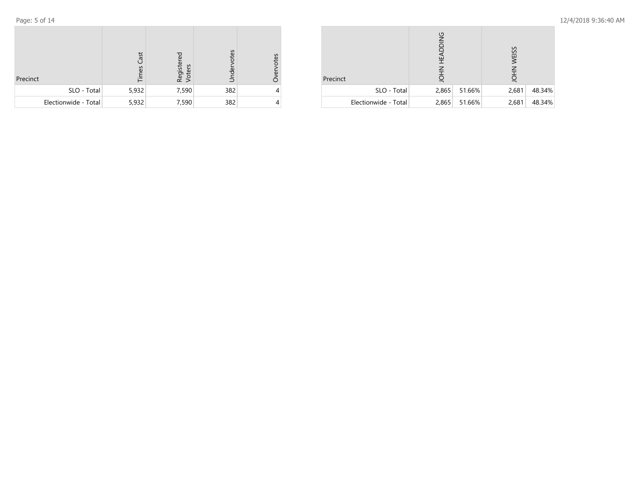| Precinct             | Cast<br>Times | Register<br>Voters | otes<br>nde | otes |
|----------------------|---------------|--------------------|-------------|------|
| SLO - Total          | 5,932         | 7,590              | 382         |      |
| Electionwide - Total | 5,932         | 7,590              | 382         |      |

| Precinct             | <b>DDING</b><br><b>A</b><br>NHOL |        | WEISS<br>HHO |        |
|----------------------|----------------------------------|--------|--------------|--------|
| SLO - Total          | 2,865                            | 51.66% | 2,681        | 48.34% |
| Electionwide - Total | 2,865                            | 51.66% | 2,681        | 48.34% |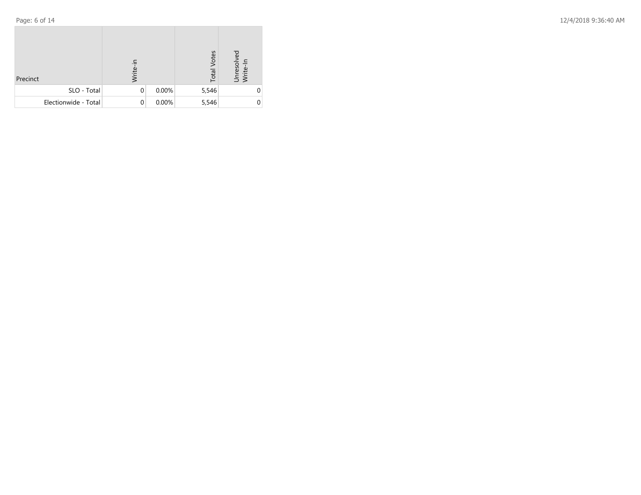| Precinct |                      | Write- |       | <b>Total Votes</b> | ဥ<br>Unresol<br>Write-In |  |
|----------|----------------------|--------|-------|--------------------|--------------------------|--|
|          | SLO - Total          | 0      | 0.00% | 5,546              |                          |  |
|          | Electionwide - Total | 0      | 0.00% | 5,546              |                          |  |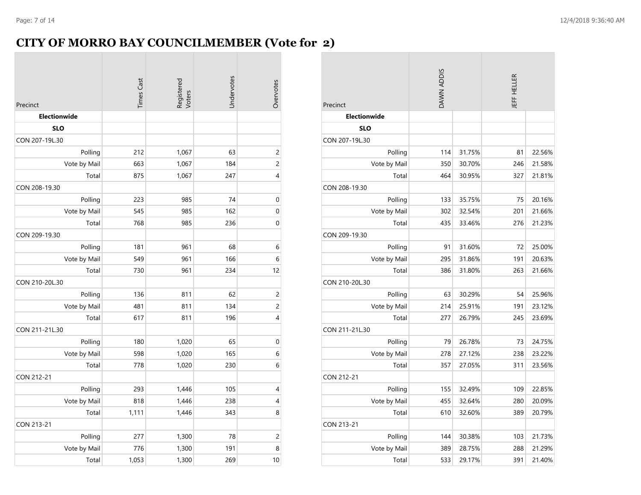# **CITY OF MORRO BAY COUNCILMEMBER (Vote for 2)**

| Precinct            | <b>Times Cast</b> | Registered<br>Voters | Undervotes | Overvotes                |
|---------------------|-------------------|----------------------|------------|--------------------------|
| <b>Electionwide</b> |                   |                      |            |                          |
| <b>SLO</b>          |                   |                      |            |                          |
| CON 207-19L.30      |                   |                      |            |                          |
| Polling             | 212               | 1,067                | 63         | $\overline{c}$           |
| Vote by Mail        | 663               | 1,067                | 184        | $\overline{c}$           |
| Total               | 875               | 1,067                | 247        | 4                        |
| CON 208-19.30       |                   |                      |            |                          |
| Polling             | 223               | 985                  | 74         | $\mathbf 0$              |
| Vote by Mail        | 545               | 985                  | 162        | 0                        |
| Total               | 768               | 985                  | 236        | 0                        |
| CON 209-19.30       |                   |                      |            |                          |
| Polling             | 181               | 961                  | 68         | 6                        |
| Vote by Mail        | 549               | 961                  | 166        | 6                        |
| Total               | 730               | 961                  | 234        | 12                       |
| CON 210-20L.30      |                   |                      |            |                          |
| Polling             | 136               | 811                  | 62         | $\overline{c}$           |
| Vote by Mail        | 481               | 811                  | 134        | $\overline{c}$           |
| Total               | 617               | 811                  | 196        | $\overline{\mathcal{A}}$ |
| CON 211-21L.30      |                   |                      |            |                          |
| Polling             | 180               | 1,020                | 65         | $\mathbf 0$              |
| Vote by Mail        | 598               | 1,020                | 165        | 6                        |
| Total               | 778               | 1,020                | 230        | 6                        |
| CON 212-21          |                   |                      |            |                          |
| Polling             | 293               | 1,446                | 105        | 4                        |
| Vote by Mail        | 818               | 1,446                | 238        | 4                        |
| Total               | 1,111             | 1,446                | 343        | 8                        |
| CON 213-21          |                   |                      |            |                          |
| Polling             | 277               | 1,300                | 78         | $\overline{c}$           |
| Vote by Mail        | 776               | 1,300                | 191        | 8                        |
| Total               | 1,053             | 1,300                | 269        | 10                       |

| Precinct            | DAWN ADDIS |        | <b>IEFF HELLER</b> |        |
|---------------------|------------|--------|--------------------|--------|
| <b>Electionwide</b> |            |        |                    |        |
| <b>SLO</b>          |            |        |                    |        |
| CON 207-19L.30      |            |        |                    |        |
| Polling             | 114        | 31.75% | 81                 | 22.56% |
| Vote by Mail        | 350        | 30.70% | 246                | 21.58% |
| Total               | 464        | 30.95% | 327                | 21.81% |
| CON 208-19.30       |            |        |                    |        |
| Polling             | 133        | 35.75% | 75                 | 20.16% |
| Vote by Mail        | 302        | 32.54% | 201                | 21.66% |
| Total               | 435        | 33.46% | 276                | 21.23% |
| CON 209-19.30       |            |        |                    |        |
| Polling             | 91         | 31.60% | 72                 | 25.00% |
| Vote by Mail        | 295        | 31.86% | 191                | 20.63% |
| Total               | 386        | 31.80% | 263                | 21.66% |
| CON 210-20L.30      |            |        |                    |        |
| Polling             | 63         | 30.29% | 54                 | 25.96% |
| Vote by Mail        | 214        | 25.91% | 191                | 23.12% |
| Total               | 277        | 26.79% | 245                | 23.69% |
| CON 211-21L.30      |            |        |                    |        |
| Polling             | 79         | 26.78% | 73                 | 24.75% |
| Vote by Mail        | 278        | 27.12% | 238                | 23.22% |
| Total               | 357        | 27.05% | 311                | 23.56% |
| CON 212-21          |            |        |                    |        |
| Polling             | 155        | 32.49% | 109                | 22.85% |
| Vote by Mail        | 455        | 32.64% | 280                | 20.09% |
| Total               | 610        | 32.60% | 389                | 20.79% |
| CON 213-21          |            |        |                    |        |
| Polling             | 144        | 30.38% | 103                | 21.73% |
| Vote by Mail        | 389        | 28.75% | 288                | 21.29% |
| Total               | 533        | 29.17% | 391                | 21.40% |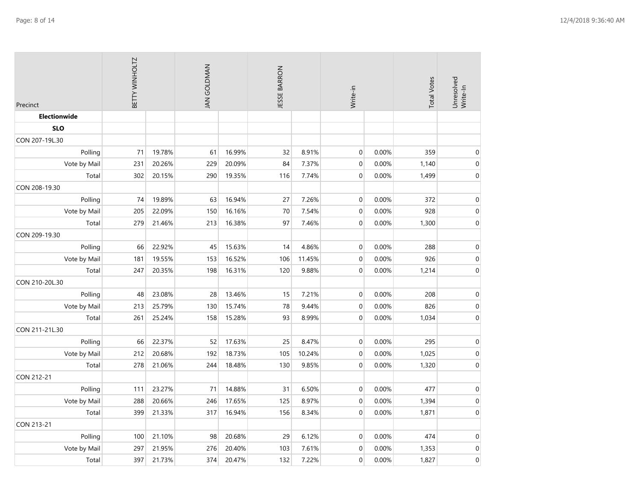| Precinct       | BETTY WINHOLTZ |        | JAN GOLDMAN |        | <b>JESSE BARRON</b> |        | Write-in         |       | <b>Total Votes</b> | Unresolved<br>Write-In |
|----------------|----------------|--------|-------------|--------|---------------------|--------|------------------|-------|--------------------|------------------------|
| Electionwide   |                |        |             |        |                     |        |                  |       |                    |                        |
| <b>SLO</b>     |                |        |             |        |                     |        |                  |       |                    |                        |
| CON 207-19L.30 |                |        |             |        |                     |        |                  |       |                    |                        |
| Polling        | 71             | 19.78% | 61          | 16.99% | 32                  | 8.91%  | $\mathbf 0$      | 0.00% | 359                | $\boldsymbol{0}$       |
| Vote by Mail   | 231            | 20.26% | 229         | 20.09% | 84                  | 7.37%  | $\mathbf{0}$     | 0.00% | 1,140              | $\boldsymbol{0}$       |
| Total          | 302            | 20.15% | 290         | 19.35% | 116                 | 7.74%  | $\mathbf 0$      | 0.00% | 1,499              | $\mathbf 0$            |
| CON 208-19.30  |                |        |             |        |                     |        |                  |       |                    |                        |
| Polling        | 74             | 19.89% | 63          | 16.94% | 27                  | 7.26%  | $\boldsymbol{0}$ | 0.00% | 372                | $\boldsymbol{0}$       |
| Vote by Mail   | 205            | 22.09% | 150         | 16.16% | 70                  | 7.54%  | $\mathbf 0$      | 0.00% | 928                | $\boldsymbol{0}$       |
| Total          | 279            | 21.46% | 213         | 16.38% | 97                  | 7.46%  | $\mathbf 0$      | 0.00% | 1,300              | $\mathbf 0$            |
| CON 209-19.30  |                |        |             |        |                     |        |                  |       |                    |                        |
| Polling        | 66             | 22.92% | 45          | 15.63% | 14                  | 4.86%  | $\mathbf 0$      | 0.00% | 288                | $\boldsymbol{0}$       |
| Vote by Mail   | 181            | 19.55% | 153         | 16.52% | 106                 | 11.45% | $\mathbf 0$      | 0.00% | 926                | $\boldsymbol{0}$       |
| Total          | 247            | 20.35% | 198         | 16.31% | 120                 | 9.88%  | $\mathbf 0$      | 0.00% | 1,214              | $\boldsymbol{0}$       |
| CON 210-20L.30 |                |        |             |        |                     |        |                  |       |                    |                        |
| Polling        | 48             | 23.08% | 28          | 13.46% | 15                  | 7.21%  | $\mathbf 0$      | 0.00% | 208                | $\boldsymbol{0}$       |
| Vote by Mail   | 213            | 25.79% | 130         | 15.74% | 78                  | 9.44%  | $\mathbf 0$      | 0.00% | 826                | $\boldsymbol{0}$       |
| Total          | 261            | 25.24% | 158         | 15.28% | 93                  | 8.99%  | $\mathbf 0$      | 0.00% | 1,034              | $\mathbf{0}$           |
| CON 211-21L.30 |                |        |             |        |                     |        |                  |       |                    |                        |
| Polling        | 66             | 22.37% | 52          | 17.63% | 25                  | 8.47%  | $\mathbf 0$      | 0.00% | 295                | $\boldsymbol{0}$       |
| Vote by Mail   | 212            | 20.68% | 192         | 18.73% | 105                 | 10.24% | $\mathbf 0$      | 0.00% | 1,025              | $\pmb{0}$              |
| Total          | 278            | 21.06% | 244         | 18.48% | 130                 | 9.85%  | $\mathbf 0$      | 0.00% | 1,320              | $\boldsymbol{0}$       |
| CON 212-21     |                |        |             |        |                     |        |                  |       |                    |                        |
| Polling        | 111            | 23.27% | 71          | 14.88% | 31                  | 6.50%  | $\mathbf 0$      | 0.00% | 477                | $\boldsymbol{0}$       |
| Vote by Mail   | 288            | 20.66% | 246         | 17.65% | 125                 | 8.97%  | $\mathbf 0$      | 0.00% | 1,394              | $\mathbf 0$            |
| Total          | 399            | 21.33% | 317         | 16.94% | 156                 | 8.34%  | $\mathbf 0$      | 0.00% | 1,871              | $\boldsymbol{0}$       |
| CON 213-21     |                |        |             |        |                     |        |                  |       |                    |                        |
| Polling        | 100            | 21.10% | 98          | 20.68% | 29                  | 6.12%  | $\mathbf 0$      | 0.00% | 474                | $\boldsymbol{0}$       |
| Vote by Mail   | 297            | 21.95% | 276         | 20.40% | 103                 | 7.61%  | $\mathbf 0$      | 0.00% | 1,353              | $\boldsymbol{0}$       |
| Total          | 397            | 21.73% | 374         | 20.47% | 132                 | 7.22%  | $\mathbf 0$      | 0.00% | 1,827              | $\boldsymbol{0}$       |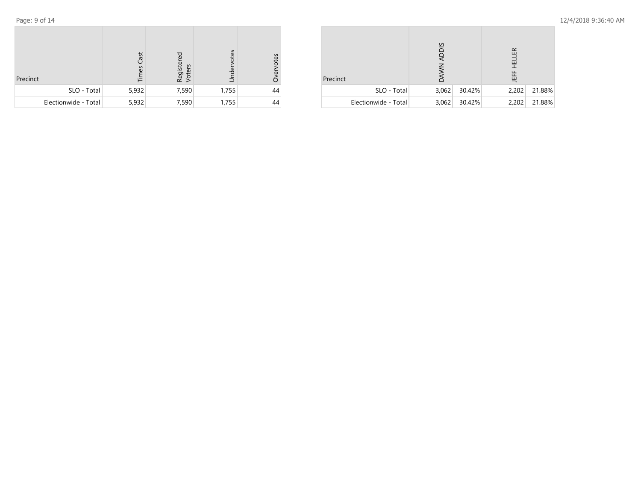m.

| Precinct             | Cast<br>Times | Registered<br>Voters | otes<br>Under | otes |
|----------------------|---------------|----------------------|---------------|------|
| SLO - Total          | 5,932         | 7,590                | 1,755         | 44   |
| Electionwide - Total | 5,932         | 7,590                | 1,755         | 44   |

| Precinct             | <b>ADDIS</b><br><b>AWN</b> |        | ш<br>킆<br>岀 |        |
|----------------------|----------------------------|--------|-------------|--------|
| SLO - Total          | 3,062                      | 30.42% | 2,202       | 21.88% |
| Electionwide - Total | 3,062                      | 30.42% | 2,202       | 21.88% |

**COL**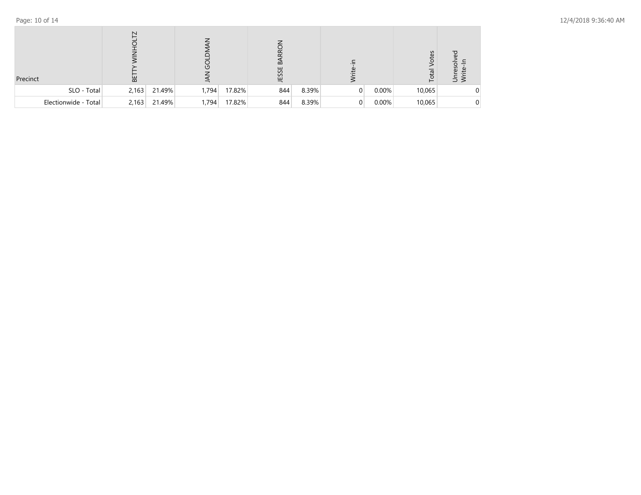| Precinct |                      | N<br>ᄒ |        |       |        | Ř<br>മ<br>JESSE |       |                |          | /otes<br>Total | $\circ$<br>Ğ.<br>ധ<br>⊃ ≶ |
|----------|----------------------|--------|--------|-------|--------|-----------------|-------|----------------|----------|----------------|---------------------------|
|          | SLO - Total          | 2,163  | 21.49% | 1,794 | 17.82% | 844             | 8.39% | $\overline{0}$ | $0.00\%$ | 10,065         |                           |
|          | Electionwide - Total | 2,163  | 21.49% | 1,794 | 17.82% | 844             | 8.39% |                | 0.00%    | 10,065         |                           |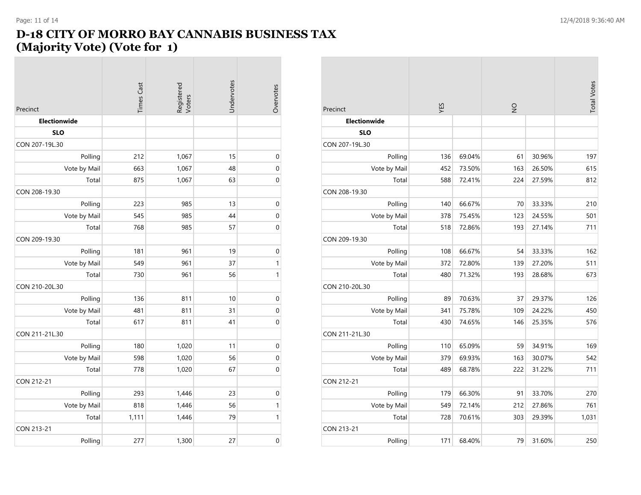# **D-18 CITY OF MORRO BAY CANNABIS BUSINESS TAX (Majority Vote) (Vote for 1)**

| Precinct       | <b>Times Cast</b> | Registered<br>Voters | Undervotes | Overvotes        |
|----------------|-------------------|----------------------|------------|------------------|
| Electionwide   |                   |                      |            |                  |
| <b>SLO</b>     |                   |                      |            |                  |
| CON 207-19L.30 |                   |                      |            |                  |
| Polling        | 212               | 1,067                | 15         | $\boldsymbol{0}$ |
| Vote by Mail   | 663               | 1,067                | 48         | $\boldsymbol{0}$ |
| Total          | 875               | 1,067                | 63         | $\mathbf 0$      |
| CON 208-19.30  |                   |                      |            |                  |
| Polling        | 223               | 985                  | 13         | $\boldsymbol{0}$ |
| Vote by Mail   | 545               | 985                  | 44         | $\boldsymbol{0}$ |
| Total          | 768               | 985                  | 57         | $\overline{0}$   |
| CON 209-19.30  |                   |                      |            |                  |
| Polling        | 181               | 961                  | 19         | $\boldsymbol{0}$ |
| Vote by Mail   | 549               | 961                  | 37         | $\mathbf{1}$     |
| Total          | 730               | 961                  | 56         | $\mathbf{1}$     |
| CON 210-20L.30 |                   |                      |            |                  |
| Polling        | 136               | 811                  | 10         | $\boldsymbol{0}$ |
| Vote by Mail   | 481               | 811                  | 31         | $\overline{0}$   |
| Total          | 617               | 811                  | 41         | $\boldsymbol{0}$ |
| CON 211-21L.30 |                   |                      |            |                  |
| Polling        | 180               | 1,020                | 11         | $\boldsymbol{0}$ |
| Vote by Mail   | 598               | 1,020                | 56         | $\boldsymbol{0}$ |
| Total          | 778               | 1,020                | 67         | $\mathbf 0$      |
| CON 212-21     |                   |                      |            |                  |
| Polling        | 293               | 1,446                | 23         | $\boldsymbol{0}$ |
| Vote by Mail   | 818               | 1,446                | 56         | $\mathbf{1}$     |
| Total          | 1,111             | 1,446                | 79         | $\mathbf{1}$     |
| CON 213-21     |                   |                      |            |                  |
| Polling        | 277               | 1,300                | 27         | $\boldsymbol{0}$ |

| Precinct            | ΥES |        | $\frac{0}{2}$ |        | <b>Total Votes</b> |
|---------------------|-----|--------|---------------|--------|--------------------|
| <b>Electionwide</b> |     |        |               |        |                    |
| <b>SLO</b>          |     |        |               |        |                    |
| CON 207-19L.30      |     |        |               |        |                    |
| Polling             | 136 | 69.04% | 61            | 30.96% | 197                |
| Vote by Mail        | 452 | 73.50% | 163           | 26.50% | 615                |
| Total               | 588 | 72.41% | 224           | 27.59% | 812                |
| CON 208-19.30       |     |        |               |        |                    |
| Polling             | 140 | 66.67% | 70            | 33.33% | 210                |
| Vote by Mail        | 378 | 75.45% | 123           | 24.55% | 501                |
| Total               | 518 | 72.86% | 193           | 27.14% | 711                |
| CON 209-19.30       |     |        |               |        |                    |
| Polling             | 108 | 66.67% | 54            | 33.33% | 162                |
| Vote by Mail        | 372 | 72.80% | 139           | 27.20% | 511                |
| Total               | 480 | 71.32% | 193           | 28.68% | 673                |
| CON 210-20L.30      |     |        |               |        |                    |
| Polling             | 89  | 70.63% | 37            | 29.37% | 126                |
| Vote by Mail        | 341 | 75.78% | 109           | 24.22% | 450                |
| Total               | 430 | 74.65% | 146           | 25.35% | 576                |
| CON 211-21L.30      |     |        |               |        |                    |
| Polling             | 110 | 65.09% | 59            | 34.91% | 169                |
| Vote by Mail        | 379 | 69.93% | 163           | 30.07% | 542                |
| Total               | 489 | 68.78% | 222           | 31.22% | 711                |
| CON 212-21          |     |        |               |        |                    |
| Polling             | 179 | 66.30% | 91            | 33.70% | 270                |
| Vote by Mail        | 549 | 72.14% | 212           | 27.86% | 761                |
| Total               | 728 | 70.61% | 303           | 29.39% | 1,031              |
| CON 213-21          |     |        |               |        |                    |
| Polling             | 171 | 68.40% | 79            | 31.60% | 250                |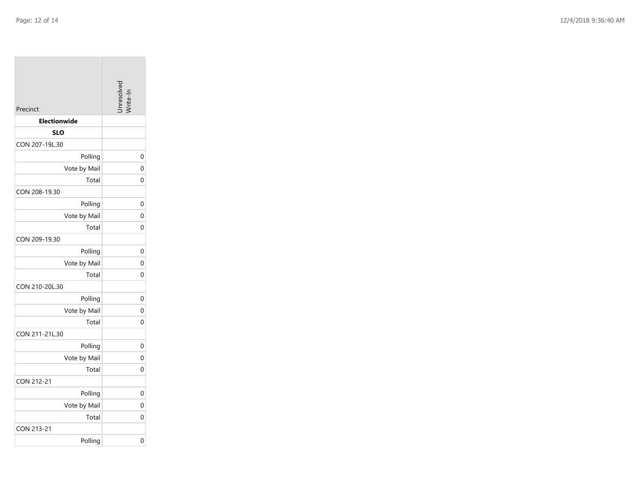| Precinct            | Jnresolve<br><i>Nr</i> ite-In |
|---------------------|-------------------------------|
| <b>Electionwide</b> |                               |
| <b>SLO</b>          |                               |
| CON 207-19L.30      |                               |
| Polling             | 0                             |
| Vote by Mail        | 0                             |
| Total               | 0                             |
| CON 208-19.30       |                               |
| Polling             | $\Omega$                      |
| Vote by Mail        | 0                             |
| Total               | 0                             |
| CON 209-19.30       |                               |
| Polling             | 0                             |
| Vote by Mail        | 0                             |
| Total               | 0                             |
| CON 210-20L.30      |                               |
| Polling             | 0                             |
| Vote by Mail        | $\Omega$                      |
| Total               | 0                             |
| CON 211-21L.30      |                               |
| Polling             | 0                             |
| Vote by Mail        | 0                             |
| Total               | 0                             |
| CON 212-21          |                               |
| Polling             | 0                             |
| Vote by Mail        | 0                             |
| Total               | 0                             |
| CON 213-21          |                               |
| Polling             | 0                             |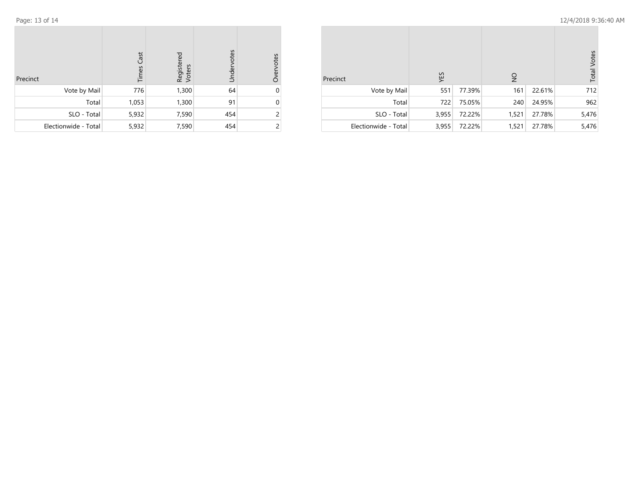| Precinct |                      | Cast<br>Times | Registered<br>Voters | Undervotes | Overvotes |
|----------|----------------------|---------------|----------------------|------------|-----------|
|          | Vote by Mail         | 776           | 1,300                | 64         |           |
|          | Total                | 1,053         | 1,300                | 91         |           |
|          | SLO - Total          | 5,932         | 7,590                | 454        |           |
|          | Electionwide - Total | 5,932         | 7,590                | 454        | ∍         |

| Precinct             | YES   |        | $\frac{1}{2}$ |        | <b>Total Votes</b> |
|----------------------|-------|--------|---------------|--------|--------------------|
| Vote by Mail         | 551   | 77.39% | 161           | 22.61% | 712                |
| Total                | 722   | 75.05% | 240           | 24.95% | 962                |
| SLO - Total          | 3,955 | 72.22% | 1,521         | 27.78% | 5,476              |
| Electionwide - Total | 3,955 | 72.22% | 1,521         | 27.78% | 5,476              |